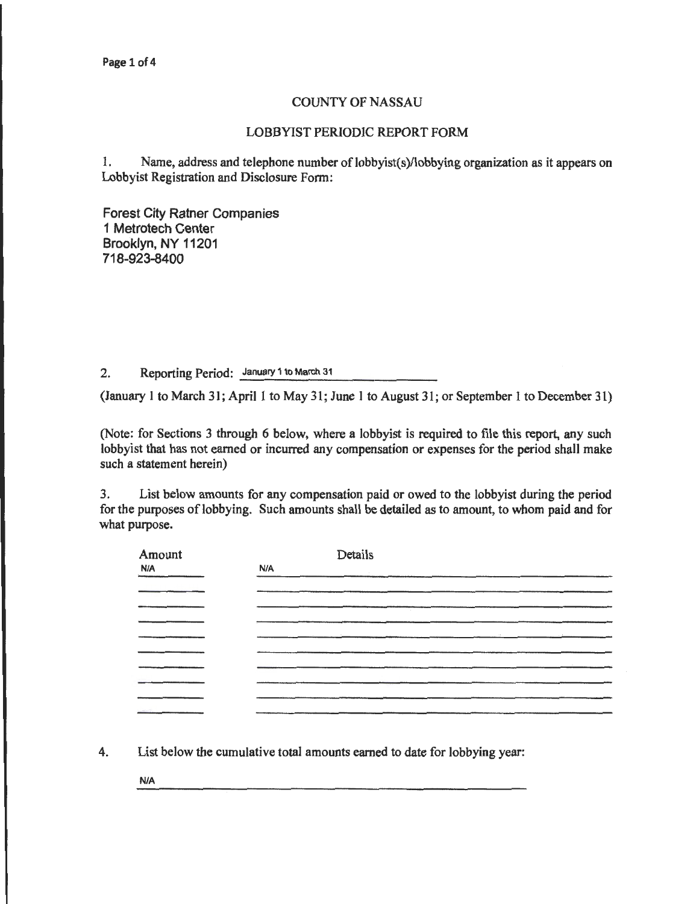## COUNTY OF NASSAU

## LOBBYIST PERIODIC REPORT FORM

1. Name, address and telephone number of lobbyist(s)/lobbying organization as it appears on Lobbyist Registration and Disclosure Form:

Forest City Ratner Companies 1 Metrotech Center Brooklyn, NY 11201 718-923-8400

2. Reporting Period: January 1 to March 31

(January 1 to March 31; April 1 to May 31; June 1 to August 31; or September 1 to December 31)

(Note: for Sections 3 through 6 below, where a lobbyist is required to file this report, any such lobbyist that has not earned or incurred any compensation or expenses for the period shall make such a statement herein)

3. List below amounts for any compensation paid or owed to the lobbyist during the period for the purposes of lobbying. Such amounts shall be detailed as to amount, to whom paid and for what purpose.

| Amount     | Details |
|------------|---------|
| <b>N/A</b> | N/A     |
|            |         |
|            |         |
|            |         |
|            |         |
|            |         |
|            |         |
|            |         |
|            |         |
|            |         |

4. List below the cumulative total amounts earned to date for lobbying year:

N/A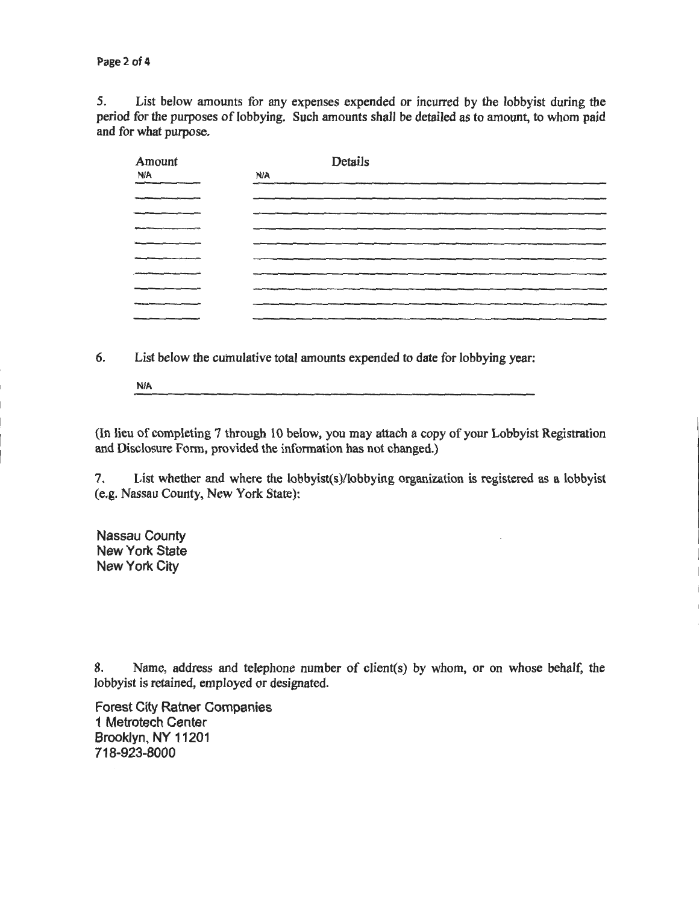*5.* List below amounts for any expenses expended or incurred by the lobbyist during the period for the purposes of lobbying. Such amounts shall be detailed as to amount, to whom paid and for what purpose.

| Amount<br>N/A | Details<br>N/A |
|---------------|----------------|
|               |                |
|               |                |
|               |                |
|               |                |
|               |                |
|               |                |
|               |                |
|               |                |
|               |                |

6. List below the cumulative total amounts expended to date for lobbying year:

N/A

(In lieu of completing 7 through 10 below, you may attach a copy of your Lobbyist Registration and Disclosure Form, provided the information has not changed.)

7. List whether and where the lobbyist(s)/lobbying organization is registered as a lobbyist (e.g. Nassau County, New York State):

Nassau County New York State New York City

8. Name, address and telephone number of client(s) by whom, or on whose behalf, the lobbyist is retained, employed or designated.

Forest City Ratner Companies 1 Metrotech Center Brooklyn, NY 11201 718-923-8000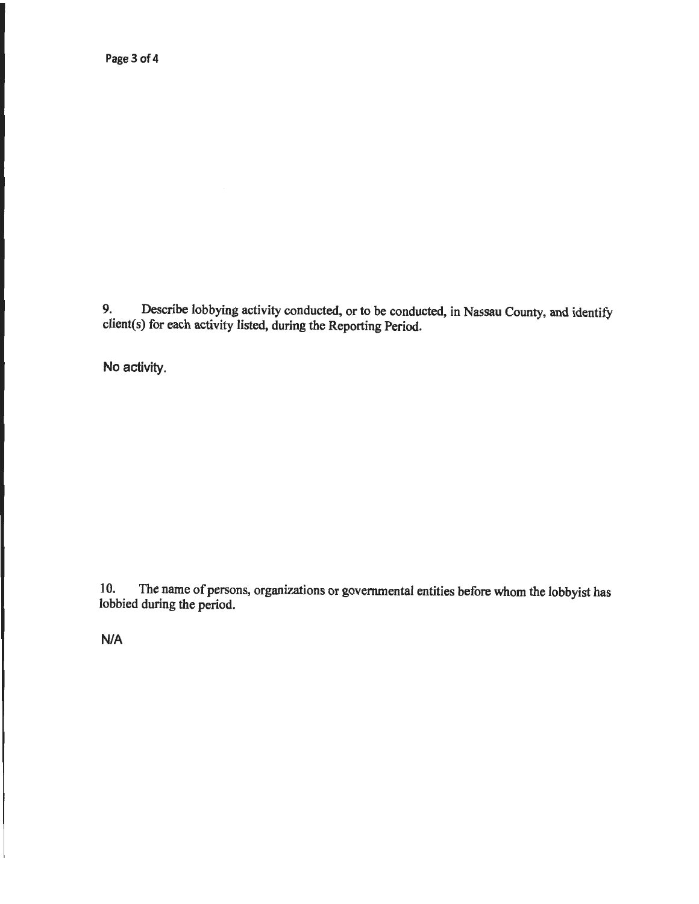9. Describe lobbying activity conducted, or to be conducted, in Nassau County, and identify client(s) for each activity listed, during the Reporting Period.

No activity.

1 0. The name of persons, organizations or governmental entities before whom the lobbyist has lobbied during the period.

N/A